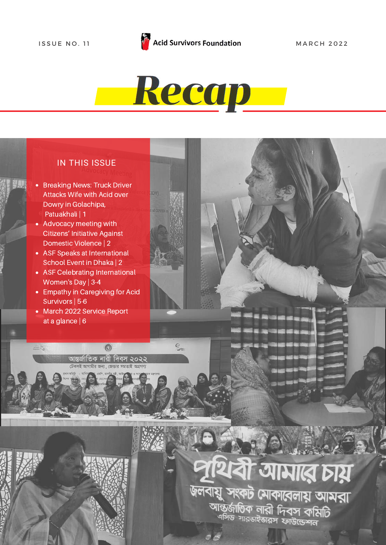

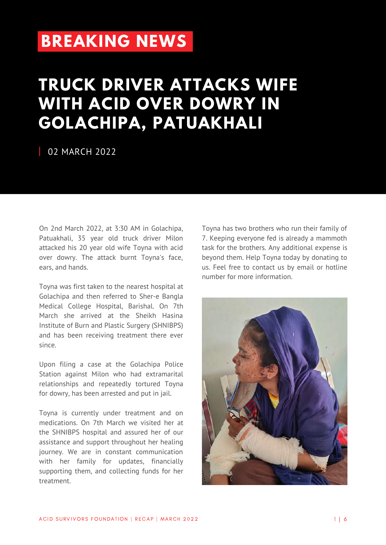### **[BREAKING](https://acidsurvivors.org/sanjida-akter-bina/) NEWS**

### **TRUCK DRIVER ATTACKS WIFE WITH ACID OVER DOWRY IN GOLACHIPA, [PATUAKHALI](https://acidsurvivors.org/sanjida-akter-bina/)**

#### 02 MARCH 2022

On 2nd March 2022, at 3:30 AM in Golachipa, Patuakhali, 35 year old truck driver Milon attacked his 20 year old wife Toyna with acid over dowry. The attack burnt Toyna's face, ears, and hands.

Toyna was first taken to the nearest hospital at Golachipa and then referred to Sher-e Bangla Medical College Hospital, Barishal. On 7th March she arrived at the Sheikh Hasina Institute of Burn and Plastic Surgery (SHNIBPS) and has been receiving treatment there ever since.

Upon filing a case at the Golachipa Police Station against Milon who had extramarital relationships and repeatedly tortured Toyna for dowry, has been arrested and put in jail.

Toyna is currently under treatment and on medications. On 7th March we visited her at the SHNIBPS hospital and assured her of our assistance and support throughout her healing journey. We are in constant communication with her family for updates, financially supporting them, and collecting funds for her treatment.

Toyna has two brothers who run their family of 7. Keeping everyone fed is already a mammoth task for the brothers. Any additional expense is beyond them. Help Toyna today by donating to us. Feel free to contact us by email or hotline number for more information.

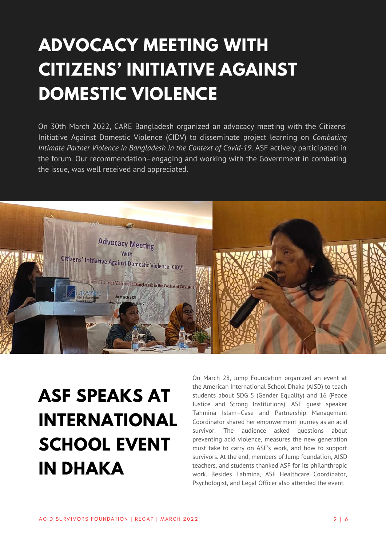## **ADVOCACY MEETING WITH CITIZENS' INITIATIVE AGAINST DOMESTIC VIOLENCE**

On 30th March 2022, CARE Bangladesh organized an advocacy meeting with the Citizens' Initiative Against Domestic Violence (CIDV) to disseminate project learning on *Combating Intimate Partner Violence in Bangladesh in the Context of Covid-19*. ASF actively participated in the forum. Our recommendation–engaging and working with the Government in combating the issue, was well received and appreciated.



# **ASF SPEAKS AT INTERNATIONAL SCHOOL EVENT IN DHAKA**

On March 28, Jump Foundation organized an event at the American International School Dhaka (AISD) to teach students about SDG 5 (Gender Equality) and 16 (Peace Justice and Strong Institutions). ASF guest speaker Tahmina Islam–Case and Partnership Management Coordinator shared her empowerment journey as an acid survivor. The audience asked questions about preventing acid violence, measures the new generation must take to carry on ASF's work, and how to support survivors. At the end, members of Jump foundation, AISD teachers, and students thanked ASF for its philanthropic work. Besides Tahmina, ASF Healthcare Coordinator, Psychologist, and Legal Officer also attended the event.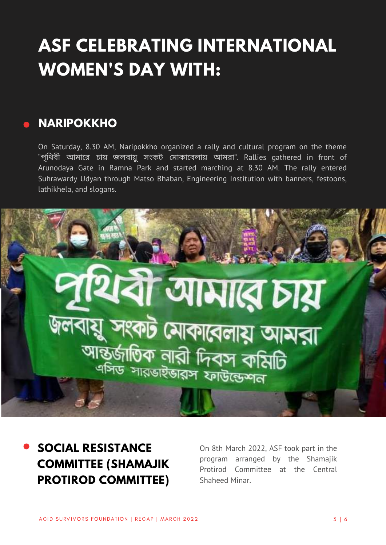## **ASF CELEBRATING INTERNATIONAL WOMEN'S DAY WITH:**

#### **NARIPOKKHO**

On Saturday, 8.30 AM, Naripokkho organized a rally and cultural program on the theme "পৃথিবী আমারে চায় জলবায়ু সংকট মোকাবেলায় আমরা". Rallies gathered in front of Arunodaya Gate in Ramna Park and started marching at 8.30 AM. The rally entered Suhrawardy Udyan through Matso Bhaban, Engineering Institution with banners, festoons, lathikhela, and slogans.



**SOCIAL RESISTANCE COMMITTEE (SHAMAJIK PROTIROD COMMITTEE)**

On 8th March 2022, ASF took part in the program arranged by the Shamajik Protirod Committee at the Central Shaheed Minar.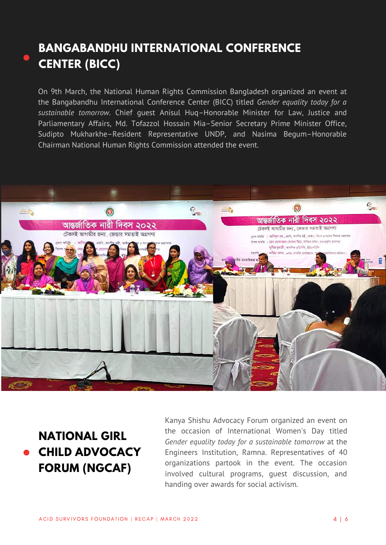#### **BANGABANDHU INTERNATIONAL CONFERENCE CENTER (BICC)**

On 9th March, the National Human Rights Commission Bangladesh organized an event at the Bangabandhu International Conference Center (BICC) titled *Gender equality today for a sustainable tomorrow*. Chief guest Anisul Huq–Honorable Minister for Law, Justice and Parliamentary Affairs, Md. Tofazzol Hossain Mia–Senior Secretary Prime Minister Office, Sudipto Mukharkhe–Resident Representative UNDP, and Nasima Begum–Honorable Chairman National Human Rights Commission attended the event.



### **NATIONAL GIRL CHILD ADVOCACY FORUM (NGCAF)**

Kanya Shishu Advocacy Forum organized an event on the occasion of International Women's Day titled *Gender equality today for a sustainable tomorrow* at the Engineers Institution, Ramna. Representatives of 40 organizations partook in the event. The occasion involved cultural programs, guest discussion, and handing over awards for social activism.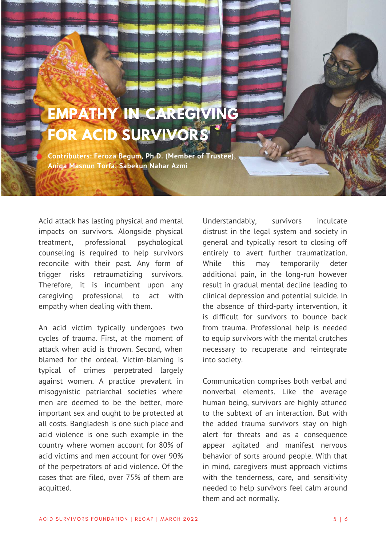## **EMPATHY IN CAREGIVING FOR ACID SURVIVORS**

**Contributers: Feroza Begum, Ph.D. (Member of Trustee), Aniqa Masnun Torfa, Sabekun Nahar Azmi**

Acid attack has lasting physical and mental impacts on survivors. Alongside physical treatment, professional psychological counseling is required to help survivors reconcile with their past. Any form of trigger risks retraumatizing survivors. Therefore, it is incumbent upon any caregiving professional to act with empathy when dealing with them.

An acid victim typically undergoes two cycles of trauma. First, at the moment of attack when acid is thrown. Second, when blamed for the ordeal. Victim-blaming is typical of crimes perpetrated largely against women. A practice prevalent in misogynistic patriarchal societies where men are deemed to be the better, more important sex and ought to be protected at all costs. Bangladesh is one such place and acid violence is one such example in the country where women account for 80% of acid victims and men account for over 90% of the perpetrators of acid violence. Of the cases that are filed, over 75% of them are acquitted.

Understandably, survivors inculcate distrust in the legal system and society in general and typically resort to closing off entirely to avert further traumatization. While this may temporarily deter additional pain, in the long-run however result in gradual mental decline leading to clinical depression and potential suicide. In the absence of third-party intervention, it is difficult for survivors to bounce back from trauma. Professional help is needed to equip survivors with the mental crutches necessary to recuperate and reintegrate into society.

Communication comprises both verbal and nonverbal elements. Like the average human being, survivors are highly attuned to the subtext of an interaction. But with the added trauma survivors stay on high alert for threats and as a consequence appear agitated and manifest nervous behavior of sorts around people. With that in mind, caregivers must approach victims with the tenderness, care, and sensitivity needed to help survivors feel calm around them and act normally.